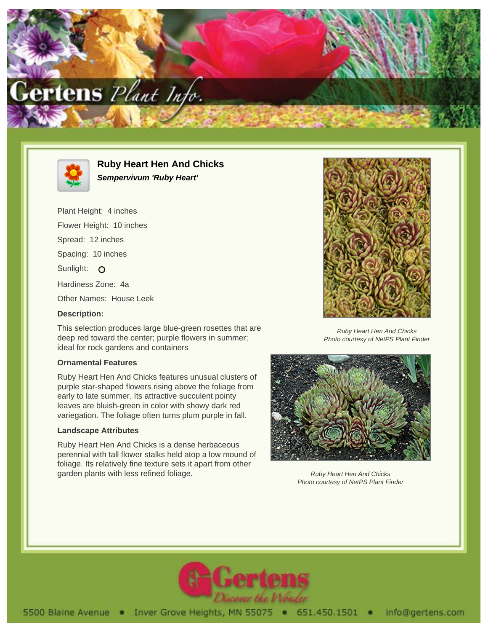



**Ruby Heart Hen And Chicks Sempervivum 'Ruby Heart'**

Plant Height: 4 inches Flower Height: 10 inches Spread: 12 inches Spacing: 10 inches Sunlight: O Hardiness Zone: 4a Other Names: House Leek **Description:**

This selection produces large blue-green rosettes that are deep red toward the center; purple flowers in summer; ideal for rock gardens and containers

## **Ornamental Features**

Ruby Heart Hen And Chicks features unusual clusters of purple star-shaped flowers rising above the foliage from early to late summer. Its attractive succulent pointy leaves are bluish-green in color with showy dark red variegation. The foliage often turns plum purple in fall.

## **Landscape Attributes**

Ruby Heart Hen And Chicks is a dense herbaceous perennial with tall flower stalks held atop a low mound of foliage. Its relatively fine texture sets it apart from other garden plants with less refined foliage.



Ruby Heart Hen And Chicks Photo courtesy of NetPS Plant Finder



Ruby Heart Hen And Chicks Photo courtesy of NetPS Plant Finder